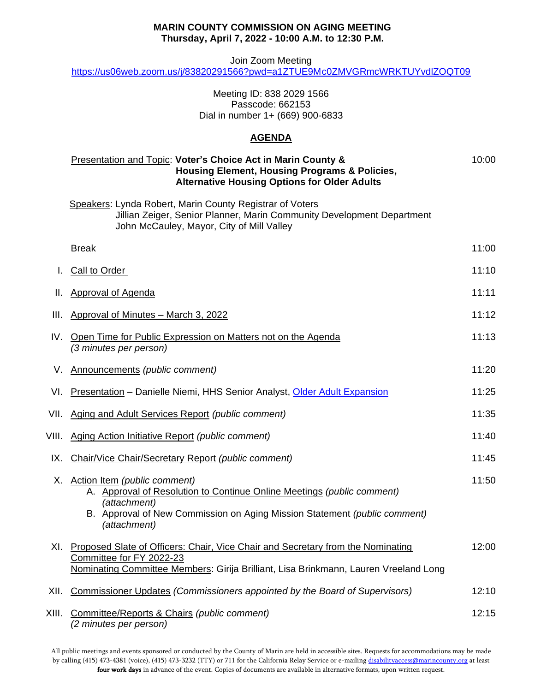#### **MARIN COUNTY COMMISSION ON AGING MEETING Thursday, April 7, 2022 - 10:00 A.M. to 12:30 P.M.**

Join Zoom Meeting

<https://us06web.zoom.us/j/83820291566?pwd=a1ZTUE9Mc0ZMVGRmcWRKTUYvdlZOQT09>

Meeting ID: 838 2029 1566 Passcode: 662153 Dial in number 1+ (669) 900-6833

### **AGENDA**

|       | Presentation and Topic: Voter's Choice Act in Marin County &<br><b>Housing Element, Housing Programs &amp; Policies,</b><br><b>Alternative Housing Options for Older Adults</b>                                        | 10:00 |
|-------|------------------------------------------------------------------------------------------------------------------------------------------------------------------------------------------------------------------------|-------|
|       | Speakers: Lynda Robert, Marin County Registrar of Voters<br>Jillian Zeiger, Senior Planner, Marin Community Development Department<br>John McCauley, Mayor, City of Mill Valley                                        |       |
|       | <b>Break</b>                                                                                                                                                                                                           | 11:00 |
|       | <b>Call to Order</b>                                                                                                                                                                                                   | 11:10 |
| Ш.    | <b>Approval of Agenda</b>                                                                                                                                                                                              | 11:11 |
| III.  | Approval of Minutes - March 3, 2022                                                                                                                                                                                    | 11:12 |
| IV.   | Open Time for Public Expression on Matters not on the Agenda<br>(3 minutes per person)                                                                                                                                 | 11:13 |
| V.    | Announcements (public comment)                                                                                                                                                                                         | 11:20 |
| VI.   | <b>Presentation</b> – Danielle Niemi, HHS Senior Analyst, Older Adult Expansion                                                                                                                                        | 11:25 |
| VII.  | Aging and Adult Services Report (public comment)                                                                                                                                                                       | 11:35 |
| VIII. | Aging Action Initiative Report (public comment)                                                                                                                                                                        | 11:40 |
| IX.   | Chair/Vice Chair/Secretary Report (public comment)                                                                                                                                                                     | 11:45 |
|       | X. Action Item (public comment)<br>A. Approval of Resolution to Continue Online Meetings (public comment)<br>(attachment)<br>B. Approval of New Commission on Aging Mission Statement (public comment)<br>(attachment) | 11:50 |
| XI.   | Proposed Slate of Officers: Chair, Vice Chair and Secretary from the Nominating<br>Committee for FY 2022-23<br>Nominating Committee Members: Girija Brilliant, Lisa Brinkmann, Lauren Vreeland Long                    | 12:00 |
| XII.  | Commissioner Updates (Commissioners appointed by the Board of Supervisors)                                                                                                                                             | 12:10 |
| XIII. | Committee/Reports & Chairs (public comment)<br>(2 minutes per person)                                                                                                                                                  | 12:15 |

All public meetings and events sponsored or conducted by the County of Marin are held in accessible sites. Requests for accommodations may be made by calling (415) 473-4381 (voice), (415) 473-3232 (TTY) or 711 for the California Relay Service or e-mailin[g disabilityaccess@marincounty.org](mailto:disabilityaccess@co.marin.ca.us) at least four work days in advance of the event. Copies of documents are available in alternative formats, upon written request.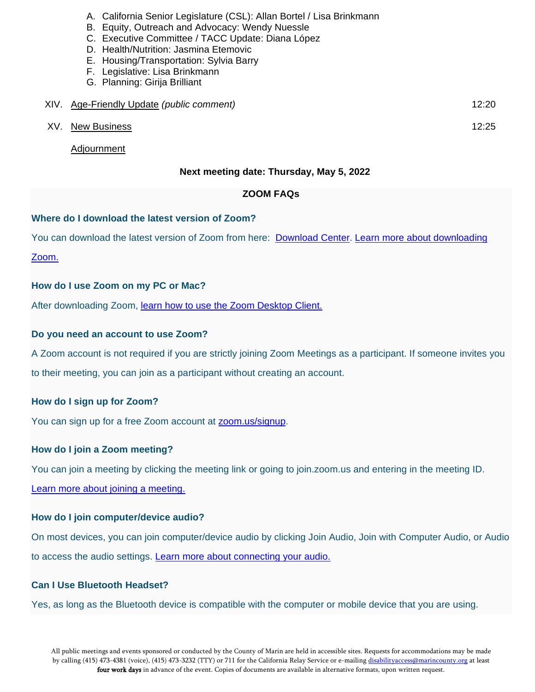- A. California Senior Legislature (CSL): Allan Bortel / Lisa Brinkmann
- B. Equity, Outreach and Advocacy: Wendy Nuessle
- C. Executive Committee / TACC Update: Diana López
- D. Health/Nutrition: Jasmina Etemovic
- E. Housing/Transportation: Sylvia Barry
- F. Legislative: Lisa Brinkmann
- G. Planning: Girija Brilliant

| XIV. Age-Friendly Update (public comment) | 12:20 |
|-------------------------------------------|-------|
| XV. New Business                          | 12:25 |

Adjournment

## **Next meeting date: Thursday, May 5, 2022**

## **ZOOM FAQs**

## **Where do I download the latest version of Zoom?**

You can download the latest version of Zoom from here: [Download Center.](https://support.zoom.us/hc/en-us/articles/zoom.us/download) [Learn more about downloading](https://support.zoom.us/hc/en-us/articles/201362233) 

[Zoom.](https://support.zoom.us/hc/en-us/articles/201362233)

### **How do I use Zoom on my PC or Mac?**

After downloading Zoom, learn how to use the [Zoom Desktop Client.](https://support.zoom.us/hc/en-us/articles/201362033-Getting-Started-on-PC-and-Mac)

### **Do you need an account to use Zoom?**

A Zoom account is not required if you are strictly joining Zoom Meetings as a participant. If someone invites you to their meeting, you can join as a participant without creating an account.

# **How do I sign up for Zoom?**

You can sign up for a free Zoom account at **zoom.us/signup**.

# **How do I join a Zoom meeting?**

You can join a meeting by clicking the meeting link or going to join.zoom.us and entering in the meeting ID.

[Learn more about joining a meeting.](https://support.zoom.us/hc/en-us/articles/201362193) 

### **How do I join computer/device audio?**

On most devices, you can join computer/device audio by clicking Join Audio, Join with Computer Audio, or Audio to access the audio settings. [Learn more about connecting](https://support.zoom.us/hc/en-us/articles/201362283-How-Do-I-Join-or-Test-My-Computer-Audio-) your audio.

### **Can I Use Bluetooth Headset?**

Yes, as long as the Bluetooth device is compatible with the computer or mobile device that you are using.